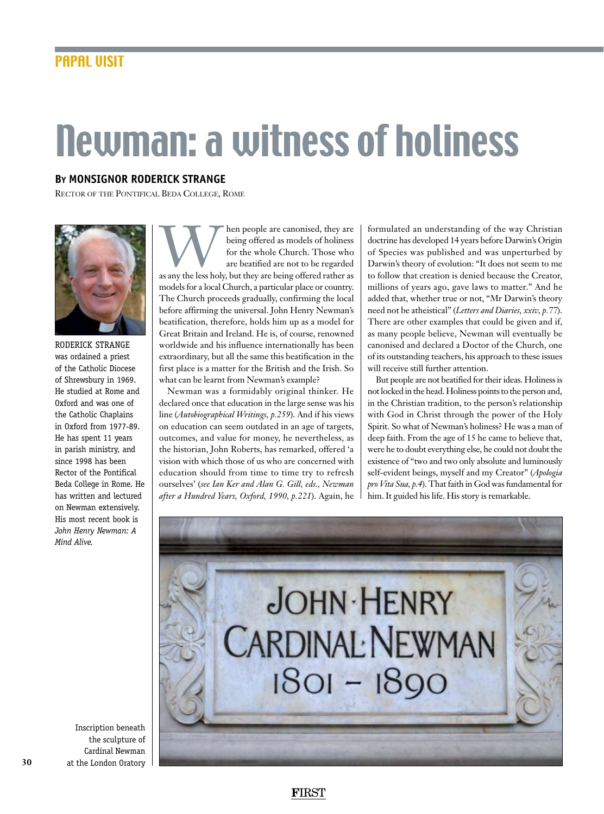## Newman: a witness of holiness

## **By monsignor Roderick Strange**

Rector of the Pontifical Beda College, Rome



roderick strange was ordained a priest of the Catholic Diocese of Shrewsbury in 1969. He studied at Rome and Oxford and was one of the Catholic Chaplains in Oxford from 1977-89. He has spent 11 years in parish ministry, and since 1998 has been Rector of the Pontifical Beda College in Rome. He has written and lectured on Newman extensively. His most recent book is *John Henry Newman: A Mind Alive.*

Musical people are canonised, they are being offered as models of holiness for the whole Church. Those who are beatified are not to be regarded as any the less holy, but they are being offered rather as being offered as models of holiness for the whole Church. Those who are beatified are not to be regarded models for a local Church, a particular place or country. The Church proceeds gradually, confirming the local before affirming the universal. John Henry Newman's beatification, therefore, holds him up as a model for Great Britain and Ireland. He is, of course, renowned worldwide and his influence internationally has been extraordinary, but all the same this beatification in the first place is a matter for the British and the Irish. So what can be learnt from Newman's example?

Newman was a formidably original thinker. He declared once that education in the large sense was his line (*Autobiographical Writings, p.259*). And if his views on education can seem outdated in an age of targets, outcomes, and value for money, he nevertheless, as the historian, John Roberts, has remarked, offered 'a vision with which those of us who are concerned with education should from time to time try to refresh ourselves' (*see Ian Ker and Alan G. Gill, eds., Newman after a Hundred Years, Oxford, 1990, p.221*). Again, he

formulated an understanding of the way Christian doctrine has developed 14 years before Darwin's Origin of Species was published and was unperturbed by Darwin's theory of evolution: "It does not seem to me to follow that creation is denied because the Creator, millions of years ago, gave laws to matter." And he added that, whether true or not, "Mr Darwin's theory need not be atheistical" (*Letters and Diaries, xxiv, p.77*). There are other examples that could be given and if, as many people believe, Newman will eventually be canonised and declared a Doctor of the Church, one of its outstanding teachers, his approach to these issues will receive still further attention.

But people are not beatified for their ideas. Holiness is not locked in the head. Holiness points to the person and, in the Christian tradition, to the person's relationship with God in Christ through the power of the Holy Spirit. So what of Newman's holiness? He was a man of deep faith. From the age of 15 he came to believe that, were he to doubt everything else, he could not doubt the existence of "two and two only absolute and luminously self-evident beings, myself and my Creator" (*Apologia pro Vita Sua, p.4*). That faith in God was fundamental for him. It guided his life. His story is remarkable.



Inscription beneath the sculpture of Cardinal Newman at the London Oratory